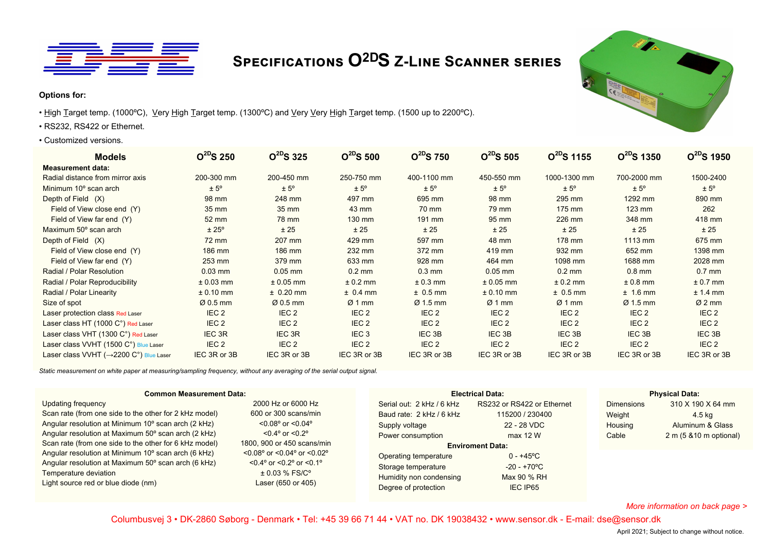

# **Specifications O2DS Z-Line Scanner series**

#### **Options for:**

- High Target temp. (1000°C), Very High Target temp. (1300°C) and Very Very High Target temp. (1500 up to 2200°C).
- RS232, RS422 or Ethernet.
- Customized versions.

| <b>Models</b>                                        | $O^{2D}S$ 250        | $O^{2D}S$ 325    | $O^{2D}S$ 500    | $O^{2D}S$ 750        | $O^{2D}S$ 505    | $O^{2D}S$ 1155   | $O^{2D}S$ 1350       | $Q^{2D}S$ 1950   |
|------------------------------------------------------|----------------------|------------------|------------------|----------------------|------------------|------------------|----------------------|------------------|
| <b>Measurement data:</b>                             |                      |                  |                  |                      |                  |                  |                      |                  |
| Radial distance from mirror axis                     | 200-300 mm           | 200-450 mm       | 250-750 mm       | 400-1100 mm          | 450-550 mm       | 1000-1300 mm     | 700-2000 mm          | 1500-2400        |
| Minimum 10 <sup>°</sup> scan arch                    | $± 5^{\circ}$        | $± 5^{\circ}$    | $± 5^{\circ}$    | $± 5^{\circ}$        | ± 5°             | $± 5^{\circ}$    | $± 5^{\circ}$        | $± 5^{\circ}$    |
| Depth of Field (X)                                   | 98 mm                | 248 mm           | 497 mm           | 695 mm               | 98 mm            | 295 mm           | 1292 mm              | 890 mm           |
| Field of View close end (Y)                          | 35 mm                | 35 mm            | 43 mm            | 70 mm                | 79 mm            | 175 mm           | $123 \text{ mm}$     | 262              |
| Field of View far end (Y)                            | 52 mm                | 78 mm            | 130 mm           | 191 mm               | 95 mm            | 226 mm           | 348 mm               | 418 mm           |
| Maximum 50° scan arch                                | $± 25^{\circ}$       | ± 25             | ± 25             | ± 25                 | ± 25             | ± 25             | ± 25                 | ± 25             |
| Depth of Field (X)                                   | 72 mm                | 207 mm           | 429 mm           | 597 mm               | 48 mm            | 178 mm           | 1113 mm              | 675 mm           |
| Field of View close end (Y)                          | 186 mm               | 186 mm           | 232 mm           | 372 mm               | 419 mm           | 932 mm           | 652 mm               | 1398 mm          |
| Field of View far end (Y)                            | 253 mm               | 379 mm           | 633 mm           | 928 mm               | 464 mm           | 1098 mm          | 1688 mm              | 2028 mm          |
| Radial / Polar Resolution                            | $0.03$ mm            | $0.05$ mm        | $0.2$ mm         | $0.3 \text{ mm}$     | $0.05$ mm        | $0.2 \text{ mm}$ | $0.8$ mm             | $0.7$ mm         |
| Radial / Polar Reproducibility                       | $± 0.03$ mm          | $± 0.05$ mm      | $± 0.2$ mm       | $± 0.3$ mm           | $± 0.05$ mm      | $± 0.2$ mm       | $± 0.8$ mm           | $± 0.7$ mm       |
| Radial / Polar Linearity                             | $± 0.10$ mm          | $± 0.20$ mm      | $± 0.4$ mm       | $± 0.5$ mm           | $± 0.10$ mm      | $± 0.5$ mm       | $± 1.6$ mm           | $± 1.4$ mm       |
| Size of spot                                         | $\varnothing$ 0.5 mm | $Ø0.5$ mm        | Ø1mm             | $\varnothing$ 1.5 mm | $Ø1$ mm          | $Ø1$ mm          | $\varnothing$ 1.5 mm | $Ø2$ mm          |
| Laser protection class Red Laser                     | IEC <sub>2</sub>     | IEC <sub>2</sub> | IEC <sub>2</sub> | IEC <sub>2</sub>     | IEC <sub>2</sub> | IEC <sub>2</sub> | IEC <sub>2</sub>     | IEC <sub>2</sub> |
| Laser class HT (1000 C°) Red Laser                   | IEC <sub>2</sub>     | IEC <sub>2</sub> | IEC <sub>2</sub> | IEC <sub>2</sub>     | IEC <sub>2</sub> | IEC <sub>2</sub> | IEC <sub>2</sub>     | IEC <sub>2</sub> |
| Laser class VHT (1300 C°) Red Laser                  | IEC 3R               | IEC 3R           | IEC <sub>3</sub> | IEC 3B               | IEC 3B           | IEC 3B           | IEC <sub>3B</sub>    | IEC 3B           |
| Laser class VVHT (1500 C°) Blue Laser                | IEC <sub>2</sub>     | IEC <sub>2</sub> | IEC <sub>2</sub> | IEC <sub>2</sub>     | IEC <sub>2</sub> | IEC <sub>2</sub> | IEC <sub>2</sub>     | IEC <sub>2</sub> |
| Laser class VVHT ( $\rightarrow$ 2200 C°) Blue Laser | IEC 3R or 3B         | IEC 3R or 3B     | IEC 3R or 3B     | IEC 3R or 3B         | IEC 3R or 3B     | IEC 3R or 3B     | IEC 3R or 3B         | IEC 3R or 3B     |

*Static measurement on white paper at measuring/sampling frequency, without any averaging of the serial output signal.*

| <b>Common Measurement Data:</b>                                                                                                                                                                                                                                                                                                                                                                                                    |                                                                                                                                                                                                                                                                                           | <b>Electrical Data:</b>                                                                                                                                                                         | <b>Physical Data:</b>                                                                                                                                                         |                                                 |                                                                             |
|------------------------------------------------------------------------------------------------------------------------------------------------------------------------------------------------------------------------------------------------------------------------------------------------------------------------------------------------------------------------------------------------------------------------------------|-------------------------------------------------------------------------------------------------------------------------------------------------------------------------------------------------------------------------------------------------------------------------------------------|-------------------------------------------------------------------------------------------------------------------------------------------------------------------------------------------------|-------------------------------------------------------------------------------------------------------------------------------------------------------------------------------|-------------------------------------------------|-----------------------------------------------------------------------------|
| Updating frequency<br>Scan rate (from one side to the other for 2 kHz model)<br>Angular resolution at Minimum 10° scan arch (2 kHz)<br>Angular resolution at Maximum 50° scan arch (2 kHz)<br>Scan rate (from one side to the other for 6 kHz model)<br>Angular resolution at Minimum 10° scan arch (6 kHz)<br>Angular resolution at Maximum 50° scan arch (6 kHz)<br>Temperature deviation<br>Light source red or blue diode (nm) | 2000 Hz or 6000 Hz<br>600 or 300 scans/min<br>$< 0.08$ ° or $< 0.04$ °<br>$< 0.4^{\circ}$ or $< 0.2^{\circ}$<br>1800, 900 or 450 scans/min<br>$< 0.08$ ° or $< 0.04$ ° or $< 0.02$ °<br>$< 0.4^{\circ}$ or $< 0.2^{\circ}$ or $< 0.1^{\circ}$<br>$\pm$ 0.03 % FS/C°<br>Laser (650 or 405) | Serial out: 2 kHz / 6 kHz<br>Baud rate: 2 kHz / 6 kHz<br>Supply voltage<br>Power consumption<br>Operating temperature<br>Storage temperature<br>Humidity non condensing<br>Degree of protection | RS232 or RS422 or Ethernet<br>115200 / 230400<br>22 - 28 VDC<br>max 12 W<br><b>Enviroment Data:</b><br>$0 - +45^{\circ}C$<br>$-20 - +70^{\circ}$ C<br>Max 90 % RH<br>IEC IP65 | <b>Dimensions</b><br>Weight<br>Housing<br>Cable | 310 X 190 X 64 mm<br>4.5 ka<br>Aluminum & Glass<br>$2 m (5 810 m$ optional) |

*More information on back page >*